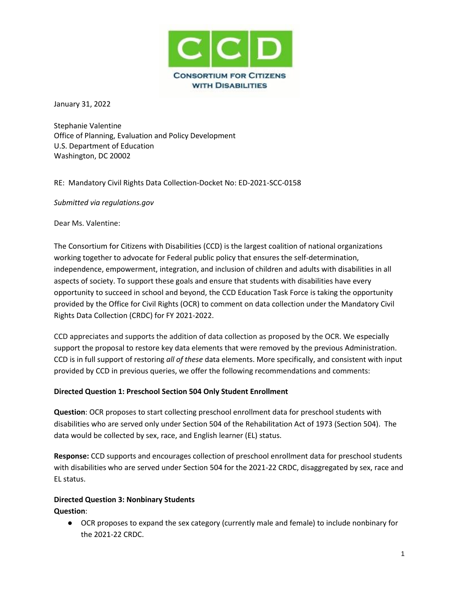

January 31, 2022

Stephanie Valentine Office of Planning, Evaluation and Policy Development U.S. Department of Education Washington, DC 20002

RE: Mandatory Civil Rights Data Collection-Docket No: ED-2021-SCC-0158

*Submitted via regulations.gov*

Dear Ms. Valentine:

The Consortium for Citizens with Disabilities (CCD) is the largest coalition of national organizations working together to advocate for Federal public policy that ensures the self-determination, independence, empowerment, integration, and inclusion of children and adults with disabilities in all aspects of society. To support these goals and ensure that students with disabilities have every opportunity to succeed in school and beyond, the CCD Education Task Force is taking the opportunity provided by the Office for Civil Rights (OCR) to comment on data collection under the Mandatory Civil Rights Data Collection (CRDC) for FY 2021-2022.

CCD appreciates and supports the addition of data collection as proposed by the OCR. We especially support the proposal to restore key data elements that were removed by the previous Administration. CCD is in full support of restoring *all of these* data elements. More specifically, and consistent with input provided by CCD in previous queries, we offer the following recommendations and comments:

### **Directed Question 1: Preschool Section 504 Only Student Enrollment**

**Question**: OCR proposes to start collecting preschool enrollment data for preschool students with disabilities who are served only under Section 504 of the Rehabilitation Act of 1973 (Section 504). The data would be collected by sex, race, and English learner (EL) status.

**Response:** CCD supports and encourages collection of preschool enrollment data for preschool students with disabilities who are served under Section 504 for the 2021-22 CRDC, disaggregated by sex, race and EL status.

## **Directed Question 3: Nonbinary Students Question**:

● OCR proposes to expand the sex category (currently male and female) to include nonbinary for the 2021-22 CRDC.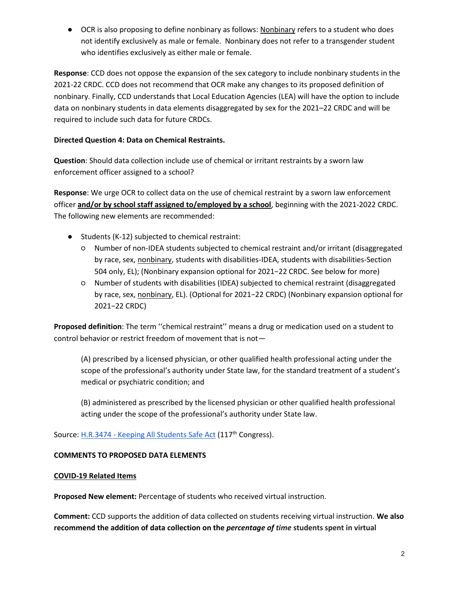● OCR is also proposing to define nonbinary as follows: Nonbinary refers to a student who does not identify exclusively as male or female. Nonbinary does not refer to a transgender student who identifies exclusively as either male or female.

**Response**: CCD does not oppose the expansion of the sex category to include nonbinary students in the 2021-22 CRDC. CCD does not recommend that OCR make any changes to its proposed definition of nonbinary. Finally, CCD understands that Local Education Agencies (LEA) will have the option to include data on nonbinary students in data elements disaggregated by sex for the 2021–22 CRDC and will be required to include such data for future CRDCs.

## **Directed Question 4: Data on Chemical Restraints.**

**Question**: Should data collection include use of chemical or irritant restraints by a sworn law enforcement officer assigned to a school?

**Response**: We urge OCR to collect data on the use of chemical restraint by a sworn law enforcement officer **and/or by school staff assigned to/employed by a school**, beginning with the 2021-2022 CRDC. The following new elements are recommended:

- Students (K-12) subjected to chemical restraint:
	- Number of non-IDEA students subjected to chemical restraint and/or irritant (disaggregated by race, sex, nonbinary, students with disabilities-IDEA, students with disabilities-Section 504 only, EL); (Nonbinary expansion optional for 2021−22 CRDC. See below for more)
	- Number of students with disabilities (IDEA) subjected to chemical restraint (disaggregated by race, sex, nonbinary, EL). (Optional for 2021−22 CRDC) (Nonbinary expansion optional for 2021−22 CRDC)

**Proposed definition**: The term ''chemical restraint'' means a drug or medication used on a student to control behavior or restrict freedom of movement that is not—

(A) prescribed by a licensed physician, or other qualified health professional acting under the scope of the professional's authority under State law, for the standard treatment of a student's medical or psychiatric condition; and

(B) administered as prescribed by the licensed physician or other qualified health professional acting under the scope of the professional's authority under State law.

Source[:](https://www.congress.gov/bill/117th-congress/house-bill/3474?s=1&r=6) H.R.3474 - [Keeping All Students Safe Act](https://www.congress.gov/bill/117th-congress/house-bill/3474?s=1&r=6) (117<sup>th</sup> Congress).

# **COMMENTS TO PROPOSED DATA ELEMENTS**

### **COVID-19 Related Items**

**Proposed New element:** Percentage of students who received virtual instruction.

**Comment:** CCD supports the addition of data collected on students receiving virtual instruction. **We also recommend the addition of data collection on the** *percentage of time* **students spent in virtual**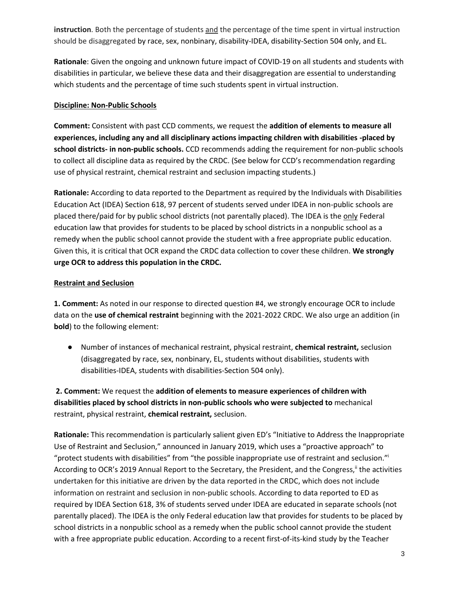**instruction**. Both the percentage of students and the percentage of the time spent in virtual instruction should be disaggregated by race, sex, nonbinary, disability-IDEA, disability-Section 504 only, and EL.

**Rationale**: Given the ongoing and unknown future impact of COVID-19 on all students and students with disabilities in particular, we believe these data and their disaggregation are essential to understanding which students and the percentage of time such students spent in virtual instruction.

#### **Discipline: Non-Public Schools**

**Comment:** Consistent with past CCD comments, we request the **addition of elements to measure all experiences, including any and all disciplinary actions impacting children with disabilities -placed by school districts- in non-public schools.** CCD recommends adding the requirement for non-public schools to collect all discipline data as required by the CRDC. (See below for CCD's recommendation regarding use of physical restraint, chemical restraint and seclusion impacting students.)

**Rationale:** According to data reported to the Department as required by the Individuals with Disabilities Education Act (IDEA) Section 618, 97 percent of students served under IDEA in non-public schools are placed there/paid for by public school districts (not parentally placed). The IDEA is the only Federal education law that provides for students to be placed by school districts in a nonpublic school as a remedy when the public school cannot provide the student with a free appropriate public education. Given this, it is critical that OCR expand the CRDC data collection to cover these children. **We strongly urge OCR to address this population in the CRDC.**

### **Restraint and Seclusion**

**1. Comment:** As noted in our response to directed question #4, we strongly encourage OCR to include data on the **use of chemical restraint** beginning with the 2021-2022 CRDC. We also urge an addition (in **bold**) to the following element:

● Number of instances of mechanical restraint, physical restraint, **chemical restraint,** seclusion (disaggregated by race, sex, nonbinary, EL, students without disabilities, students with disabilities-IDEA, students with disabilities-Section 504 only).

**2. Comment:** We request the **addition of elements to measure experiences of children with disabilities placed by school districts in non-public schools who were subjected to** mechanical restraint, physical restraint, **chemical restraint,** seclusion.

**Rationale:** This recommendation is particularly salient given ED's "Initiative to Address the Inappropriate Use of Restraint and Seclusion," announced in January 2019, which uses a "proactive approach" to "protect students with disabilities" from "the possible inappropriate use of restraint and seclusion."<sup>i</sup> According to OCR's 2019 Annual Report to the Secretary, the President, and the Congress, i the activities undertaken for this initiative are driven by the data reported in the CRDC, which does not include information on restraint and seclusion in non-public schools. According to data reported to ED as required by IDEA Section 618, 3% of students served under IDEA are educated in separate schools (not parentally placed). The IDEA is the only Federal education law that provides for students to be placed by school districts in a nonpublic school as a remedy when the public school cannot provide the student with a free appropriate public education. According to a recent first-of-its-kind study by the Teacher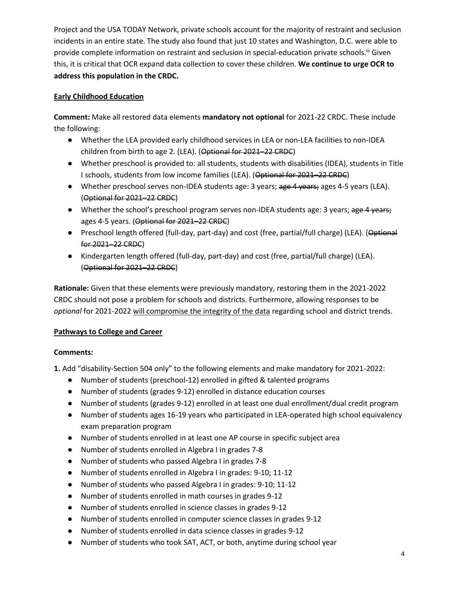Project and the USA TODAY Network, private schools account for the majority of restraint and seclusion incidents in an entire state. The study also found that just 10 states and Washington, D.C. were able to provide complete information on restraint and seclusion in special-education private schools.<sup>III</sup> Given this, it is critical that OCR expand data collection to cover these children. **We continue to urge OCR to address this population in the CRDC.**

# **Early Childhood Education**

**Comment:** Make all restored data elements **mandatory not optional** for 2021-22 CRDC. These include the following:

- Whether the LEA provided early childhood services in LEA or non-LEA facilities to non-IDEA children from birth to age 2. (LEA). (Optional for 2021–22 CRDC)
- Whether preschool is provided to: all students, students with disabilities (IDEA), students in Title I schools, students from low income families (LEA). (Optional for 2021–22 CRDC)
- Whether preschool serves non-IDEA students age: 3 years; age 4 years; ages 4-5 years (LEA). (Optional for 2021–22 CRDC)
- Whether the school's preschool program serves non-IDEA students age: 3 years; age 4 years; ages 4-5 years. (Optional for 2021–22 CRDC)
- Preschool length offered (full-day, part-day) and cost (free, partial/full charge) (LEA). (Optional for 2021–22 CRDC)
- Kindergarten length offered (full-day, part-day) and cost (free, partial/full charge) (LEA). (Optional for 2021–22 CRDC)

**Rationale:** Given that these elements were previously mandatory, restoring them in the 2021-2022 CRDC should not pose a problem for schools and districts. Furthermore, allowing responses to be *optional* for 2021-2022 will compromise the integrity of the data regarding school and district trends.

### **Pathways to College and Career**

### **Comments:**

**1.** Add "disability-Section 504 only" to the following elements and make mandatory for 2021-2022:

- Number of students (preschool-12) enrolled in gifted & talented programs
- Number of students (grades 9-12) enrolled in distance education courses
- Number of students (grades 9-12) enrolled in at least one dual enrollment/dual credit program
- Number of students ages 16-19 years who participated in LEA-operated high school equivalency exam preparation program
- Number of students enrolled in at least one AP course in specific subject area
- Number of students enrolled in Algebra I in grades 7-8
- Number of students who passed Algebra I in grades 7-8
- Number of students enrolled in Algebra I in grades: 9-10; 11-12
- Number of students who passed Algebra I in grades: 9-10; 11-12
- Number of students enrolled in math courses in grades 9-12
- Number of students enrolled in science classes in grades 9-12
- Number of students enrolled in computer science classes in grades 9-12
- Number of students enrolled in data science classes in grades 9-12
- Number of students who took SAT, ACT, or both, anytime during school year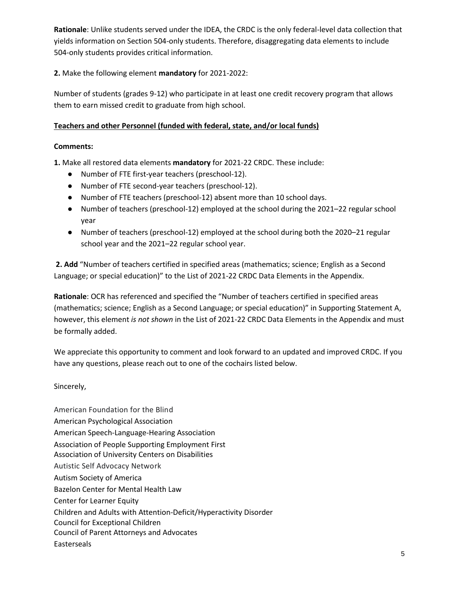**Rationale**: Unlike students served under the IDEA, the CRDC is the only federal-level data collection that yields information on Section 504-only students. Therefore, disaggregating data elements to include 504-only students provides critical information.

**2.** Make the following element **mandatory** for 2021-2022:

Number of students (grades 9-12) who participate in at least one credit recovery program that allows them to earn missed credit to graduate from high school.

#### **Teachers and other Personnel (funded with federal, state, and/or local funds)**

#### **Comments:**

**1.** Make all restored data elements **mandatory** for 2021-22 CRDC. These include:

- Number of FTE first-year teachers (preschool-12).
- Number of FTE second-year teachers (preschool-12).
- Number of FTE teachers (preschool-12) absent more than 10 school days.
- Number of teachers (preschool-12) employed at the school during the 2021–22 regular school year
- Number of teachers (preschool-12) employed at the school during both the 2020–21 regular school year and the 2021–22 regular school year.

**2. Add** "Number of teachers certified in specified areas (mathematics; science; English as a Second Language; or special education)" to the List of 2021-22 CRDC Data Elements in the Appendix.

**Rationale**: OCR has referenced and specified the "Number of teachers certified in specified areas (mathematics; science; English as a Second Language; or special education)" in Supporting Statement A, however, this element *is not shown* in the List of 2021-22 CRDC Data Elements in the Appendix and must be formally added.

We appreciate this opportunity to comment and look forward to an updated and improved CRDC. If you have any questions, please reach out to one of the cochairs listed below.

Sincerely,

American Foundation for the Blind American Psychological Association American Speech-Language-Hearing Association Association of People Supporting Employment First Association of University Centers on Disabilities Autistic Self Advocacy Network Autism Society of America Bazelon Center for Mental Health Law Center for Learner Equity Children and Adults with Attention-Deficit/Hyperactivity Disorder Council for Exceptional Children Council of Parent Attorneys and Advocates Easterseals